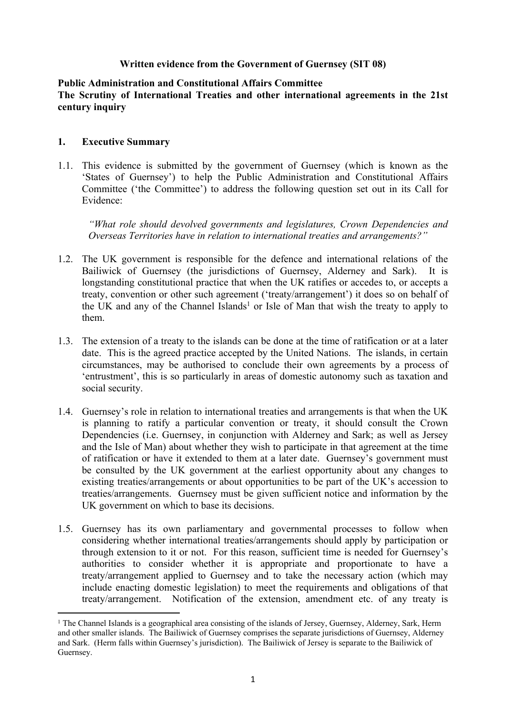#### **Written evidence from the Government of Guernsey (SIT 08)**

#### **Public Administration and Constitutional Affairs Committee The Scrutiny of International Treaties and other international agreements in the 21st century inquiry**

#### **1. Executive Summary**

1.1. This evidence is submitted by the government of Guernsey (which is known as the 'States of Guernsey') to help the Public Administration and Constitutional Affairs Committee ('the Committee') to address the following question set out in its Call for Evidence:

*"What role should devolved governments and legislatures, Crown Dependencies and Overseas Territories have in relation to international treaties and arrangements?"* 

- 1.2. The UK government is responsible for the defence and international relations of the Bailiwick of Guernsey (the jurisdictions of Guernsey, Alderney and Sark). It is longstanding constitutional practice that when the UK ratifies or accedes to, or accepts a treaty, convention or other such agreement ('treaty/arrangement') it does so on behalf of the UK and any of the Channel Islands<sup>1</sup> or Isle of Man that wish the treaty to apply to them.
- 1.3. The extension of a treaty to the islands can be done at the time of ratification or at a later date. This is the agreed practice accepted by the United Nations. The islands, in certain circumstances, may be authorised to conclude their own agreements by a process of 'entrustment', this is so particularly in areas of domestic autonomy such as taxation and social security.
- 1.4. Guernsey's role in relation to international treaties and arrangements is that when the UK is planning to ratify a particular convention or treaty, it should consult the Crown Dependencies (i.e. Guernsey, in conjunction with Alderney and Sark; as well as Jersey and the Isle of Man) about whether they wish to participate in that agreement at the time of ratification or have it extended to them at a later date. Guernsey's government must be consulted by the UK government at the earliest opportunity about any changes to existing treaties/arrangements or about opportunities to be part of the UK's accession to treaties/arrangements. Guernsey must be given sufficient notice and information by the UK government on which to base its decisions.
- 1.5. Guernsey has its own parliamentary and governmental processes to follow when considering whether international treaties/arrangements should apply by participation or through extension to it or not. For this reason, sufficient time is needed for Guernsey's authorities to consider whether it is appropriate and proportionate to have a treaty/arrangement applied to Guernsey and to take the necessary action (which may include enacting domestic legislation) to meet the requirements and obligations of that treaty/arrangement. Notification of the extension, amendment etc. of any treaty is

<sup>&</sup>lt;sup>1</sup> The Channel Islands is a geographical area consisting of the islands of Jersey, Guernsey, Alderney, Sark, Herm and other smaller islands. The Bailiwick of Guernsey comprises the separate jurisdictions of Guernsey, Alderney and Sark. (Herm falls within Guernsey's jurisdiction). The Bailiwick of Jersey is separate to the Bailiwick of Guernsey.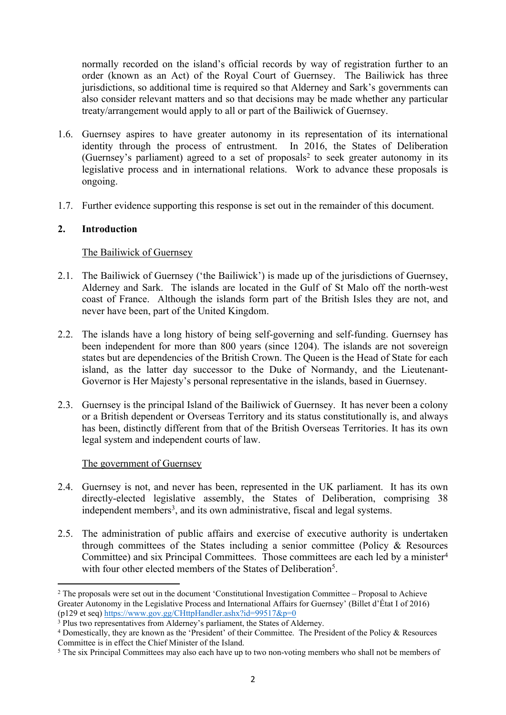normally recorded on the island's official records by way of registration further to an order (known as an Act) of the Royal Court of Guernsey. The Bailiwick has three jurisdictions, so additional time is required so that Alderney and Sark's governments can also consider relevant matters and so that decisions may be made whether any particular treaty/arrangement would apply to all or part of the Bailiwick of Guernsey.

- 1.6. Guernsey aspires to have greater autonomy in its representation of its international identity through the process of entrustment. In 2016, the States of Deliberation (Guernsey's parliament) agreed to a set of proposals<sup>2</sup> to seek greater autonomy in its legislative process and in international relations. Work to advance these proposals is ongoing.
- 1.7. Further evidence supporting this response is set out in the remainder of this document.

# **2. Introduction**

## The Bailiwick of Guernsey

- 2.1. The Bailiwick of Guernsey ('the Bailiwick') is made up of the jurisdictions of Guernsey, Alderney and Sark. The islands are located in the Gulf of St Malo off the north-west coast of France. Although the islands form part of the British Isles they are not, and never have been, part of the United Kingdom.
- 2.2. The islands have a long history of being self-governing and self-funding. Guernsey has been independent for more than 800 years (since 1204). The islands are not sovereign states but are dependencies of the British Crown. The Queen is the Head of State for each island, as the latter day successor to the Duke of Normandy, and the Lieutenant-Governor is Her Majesty's personal representative in the islands, based in Guernsey.
- 2.3. Guernsey is the principal Island of the Bailiwick of Guernsey. It has never been a colony or a British dependent or Overseas Territory and its status constitutionally is, and always has been, distinctly different from that of the British Overseas Territories. It has its own legal system and independent courts of law.

## The government of Guernsey

- 2.4. Guernsey is not, and never has been, represented in the UK parliament. It has its own directly-elected legislative assembly, the States of Deliberation, comprising 38 independent members<sup>3</sup>, and its own administrative, fiscal and legal systems.
- 2.5. The administration of public affairs and exercise of executive authority is undertaken through committees of the States including a senior committee (Policy & Resources Committee) and six Principal Committees. Those committees are each led by a minister<sup>4</sup> with four other elected members of the States of Deliberation<sup>5</sup>.

<sup>2</sup> The proposals were set out in the document 'Constitutional Investigation Committee – Proposal to Achieve Greater Autonomy in the Legislative Process and International Affairs for Guernsey' (Billet d'État I of 2016) (p129 et seq) <https://www.gov.gg/CHttpHandler.ashx?id=99517&p=0>

<sup>&</sup>lt;sup>3</sup> Plus two representatives from Alderney's parliament, the States of Alderney.

<sup>4</sup> Domestically, they are known as the 'President' of their Committee. The President of the Policy & Resources Committee is in effect the Chief Minister of the Island.

<sup>&</sup>lt;sup>5</sup> The six Principal Committees may also each have up to two non-voting members who shall not be members of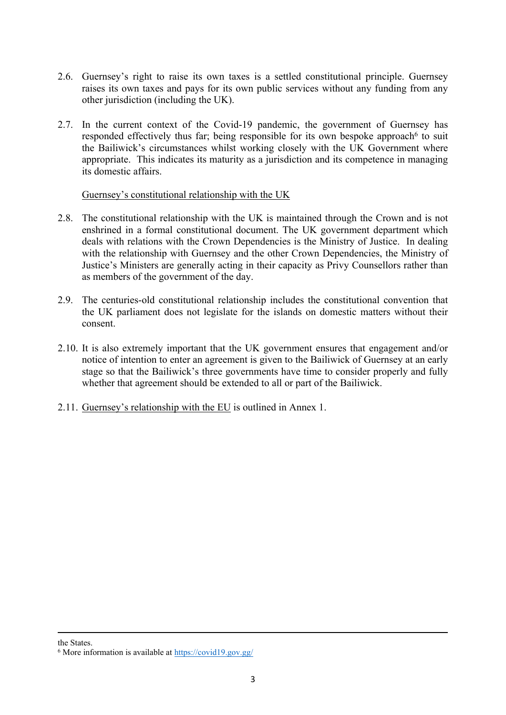- 2.6. Guernsey's right to raise its own taxes is a settled constitutional principle. Guernsey raises its own taxes and pays for its own public services without any funding from any other jurisdiction (including the UK).
- 2.7. In the current context of the Covid-19 pandemic, the government of Guernsey has responded effectively thus far; being responsible for its own bespoke approach<sup>6</sup> to suit the Bailiwick's circumstances whilst working closely with the UK Government where appropriate. This indicates its maturity as a jurisdiction and its competence in managing its domestic affairs.

#### Guernsey's constitutional relationship with the UK

- 2.8. The constitutional relationship with the UK is maintained through the Crown and is not enshrined in a formal constitutional document. The UK government department which deals with relations with the Crown Dependencies is the Ministry of Justice. In dealing with the relationship with Guernsey and the other Crown Dependencies, the Ministry of Justice's Ministers are generally acting in their capacity as Privy Counsellors rather than as members of the government of the day.
- 2.9. The centuries-old constitutional relationship includes the constitutional convention that the UK parliament does not legislate for the islands on domestic matters without their consent.
- 2.10. It is also extremely important that the UK government ensures that engagement and/or notice of intention to enter an agreement is given to the Bailiwick of Guernsey at an early stage so that the Bailiwick's three governments have time to consider properly and fully whether that agreement should be extended to all or part of the Bailiwick.
- 2.11. Guernsey's relationship with the EU is outlined in Annex 1.

the States.

<sup>6</sup> More information is available at <https://covid19.gov.gg/>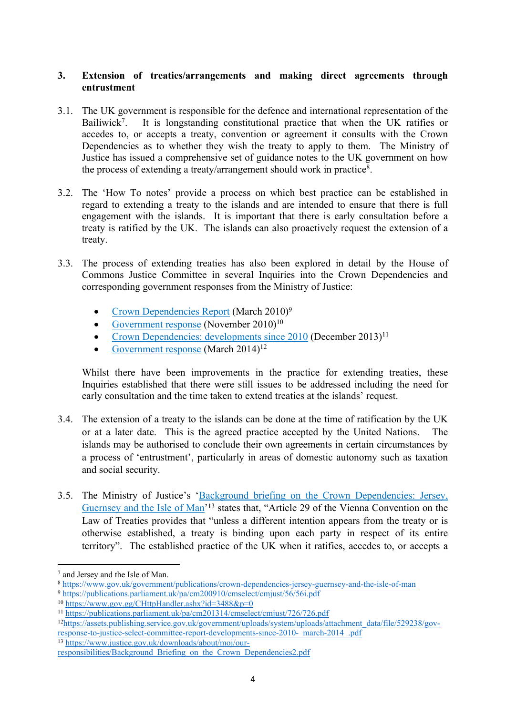## **3. Extension of treaties/arrangements and making direct agreements through entrustment**

- 3.1. The UK government is responsible for the defence and international representation of the Bailiwick<sup>7</sup>. . It is longstanding constitutional practice that when the UK ratifies or accedes to, or accepts a treaty, convention or agreement it consults with the Crown Dependencies as to whether they wish the treaty to apply to them. The Ministry of Justice has issued a comprehensive set of guidance notes to the UK government on how the process of extending a treaty/arrangement should work in practice<sup>8</sup> .
- 3.2. The 'How To notes' provide a process on which best practice can be established in regard to extending a treaty to the islands and are intended to ensure that there is full engagement with the islands. It is important that there is early consultation before a treaty is ratified by the UK. The islands can also proactively request the extension of a treaty.
- 3.3. The process of extending treaties has also been explored in detail by the House of Commons Justice Committee in several Inquiries into the Crown Dependencies and corresponding government responses from the Ministry of Justice:
	- [Crown](https://publications.parliament.uk/pa/cm200910/cmselect/cmjust/56/56i.pdf) [Dependencies](https://publications.parliament.uk/pa/cm200910/cmselect/cmjust/56/56i.pdf) [Report](https://publications.parliament.uk/pa/cm200910/cmselect/cmjust/56/56i.pdf) (March 2010)<sup>9</sup>
	- [Government](https://www.gov.gg/CHttpHandler.ashx?id=3488&p=0) [response](https://www.gov.gg/CHttpHandler.ashx?id=3488&p=0) (November  $2010$ <sup>10</sup>
	- [Crown](https://publications.parliament.uk/pa/cm201314/cmselect/cmjust/726/726.pdf) [Dependencies:](https://publications.parliament.uk/pa/cm201314/cmselect/cmjust/726/726.pdf) [developments](https://publications.parliament.uk/pa/cm201314/cmselect/cmjust/726/726.pdf) [since](https://publications.parliament.uk/pa/cm201314/cmselect/cmjust/726/726.pdf)  $2010$  (December  $2013$ )<sup>11</sup>
	- [Government](https://assets.publishing.service.gov.uk/government/uploads/system/uploads/attachment_data/file/529238/gov-response-to-justice-select-committee-report-developments-since-2010-_march-2014_.pdf) [response](https://assets.publishing.service.gov.uk/government/uploads/system/uploads/attachment_data/file/529238/gov-response-to-justice-select-committee-report-developments-since-2010-_march-2014_.pdf) (March  $2014$ )<sup>12</sup>

Whilst there have been improvements in the practice for extending treaties, these Inquiries established that there were still issues to be addressed including the need for early consultation and the time taken to extend treaties at the islands' request.

- 3.4. The extension of a treaty to the islands can be done at the time of ratification by the UK or at a later date. This is the agreed practice accepted by the United Nations. The islands may be authorised to conclude their own agreements in certain circumstances by a process of 'entrustment', particularly in areas of domestic autonomy such as taxation and social security.
- 3.5. The Ministry of Justice's ['Background](https://www.justice.gov.uk/downloads/about/moj/our-responsibilities/Background_Briefing_on_the_Crown_Dependencies2.pdf) [briefing](https://www.justice.gov.uk/downloads/about/moj/our-responsibilities/Background_Briefing_on_the_Crown_Dependencies2.pdf) [on](https://www.justice.gov.uk/downloads/about/moj/our-responsibilities/Background_Briefing_on_the_Crown_Dependencies2.pdf) [the](https://www.justice.gov.uk/downloads/about/moj/our-responsibilities/Background_Briefing_on_the_Crown_Dependencies2.pdf) [Crown](https://www.justice.gov.uk/downloads/about/moj/our-responsibilities/Background_Briefing_on_the_Crown_Dependencies2.pdf) [Dependencies:](https://www.justice.gov.uk/downloads/about/moj/our-responsibilities/Background_Briefing_on_the_Crown_Dependencies2.pdf) [Jersey,](https://www.justice.gov.uk/downloads/about/moj/our-responsibilities/Background_Briefing_on_the_Crown_Dependencies2.pdf) [Guernsey](https://www.justice.gov.uk/downloads/about/moj/our-responsibilities/Background_Briefing_on_the_Crown_Dependencies2.pdf) [and](https://www.justice.gov.uk/downloads/about/moj/our-responsibilities/Background_Briefing_on_the_Crown_Dependencies2.pdf) [the](https://www.justice.gov.uk/downloads/about/moj/our-responsibilities/Background_Briefing_on_the_Crown_Dependencies2.pdf) [Isle](https://www.justice.gov.uk/downloads/about/moj/our-responsibilities/Background_Briefing_on_the_Crown_Dependencies2.pdf) [of](https://www.justice.gov.uk/downloads/about/moj/our-responsibilities/Background_Briefing_on_the_Crown_Dependencies2.pdf) Man<sup>'13</sup> states that, "Article 29 of the Vienna Convention on the Law of Treaties provides that "unless a different intention appears from the treaty or is otherwise established, a treaty is binding upon each party in respect of its entire territory". The established practice of the UK when it ratifies, accedes to, or accepts a

<sup>7</sup> and Jersey and the Isle of Man.

<sup>8</sup> <https://www.gov.uk/government/publications/crown-dependencies-jersey-guernsey-and-the-isle-of-man>

<sup>9</sup> <https://publications.parliament.uk/pa/cm200910/cmselect/cmjust/56/56i.pdf>

<sup>10</sup> <https://www.gov.gg/CHttpHandler.ashx?id=3488&p=0>

<sup>11</sup> <https://publications.parliament.uk/pa/cm201314/cmselect/cmjust/726/726.pdf>

<sup>12</sup>[https://assets.publishing.service.gov.uk/government/uploads/system/uploads/attachment\\_data/file/529238/gov](https://assets.publishing.service.gov.uk/government/uploads/system/uploads/attachment_data/file/529238/gov-response-to-justice-select-committee-report-developments-since-2010-_march-2014_.pdf)response-to-justice-select-committee-report-developments-since-2010-<sup>march-2014</sup>.pdf <sup>13</sup> [https://www.justice.gov.uk/downloads/about/moj/our-](https://www.justice.gov.uk/downloads/about/moj/our-responsibilities/Background_Briefing_on_the_Crown_Dependencies2.pdf)

[responsibilities/Background\\_Briefing\\_on\\_the\\_Crown\\_Dependencies2.pdf](https://www.justice.gov.uk/downloads/about/moj/our-responsibilities/Background_Briefing_on_the_Crown_Dependencies2.pdf)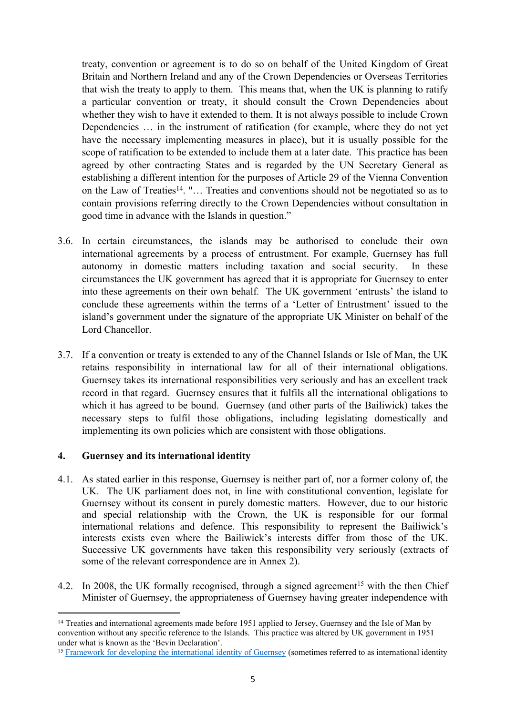treaty, convention or agreement is to do so on behalf of the United Kingdom of Great Britain and Northern Ireland and any of the Crown Dependencies or Overseas Territories that wish the treaty to apply to them. This means that, when the UK is planning to ratify a particular convention or treaty, it should consult the Crown Dependencies about whether they wish to have it extended to them. It is not always possible to include Crown Dependencies … in the instrument of ratification (for example, where they do not yet have the necessary implementing measures in place), but it is usually possible for the scope of ratification to be extended to include them at a later date. This practice has been agreed by other contracting States and is regarded by the UN Secretary General as establishing a different intention for the purposes of Article 29 of the Vienna Convention on the Law of Treaties<sup>14</sup>. "... Treaties and conventions should not be negotiated so as to contain provisions referring directly to the Crown Dependencies without consultation in good time in advance with the Islands in question."

- 3.6. In certain circumstances, the islands may be authorised to conclude their own international agreements by a process of entrustment. For example, Guernsey has full autonomy in domestic matters including taxation and social security. In these circumstances the UK government has agreed that it is appropriate for Guernsey to enter into these agreements on their own behalf. The UK government 'entrusts' the island to conclude these agreements within the terms of a 'Letter of Entrustment' issued to the island's government under the signature of the appropriate UK Minister on behalf of the Lord Chancellor.
- 3.7. If a convention or treaty is extended to any of the Channel Islands or Isle of Man, the UK retains responsibility in international law for all of their international obligations. Guernsey takes its international responsibilities very seriously and has an excellent track record in that regard. Guernsey ensures that it fulfils all the international obligations to which it has agreed to be bound. Guernsey (and other parts of the Bailiwick) takes the necessary steps to fulfil those obligations, including legislating domestically and implementing its own policies which are consistent with those obligations.

## **4. Guernsey and its international identity**

- 4.1. As stated earlier in this response, Guernsey is neither part of, nor a former colony of, the UK. The UK parliament does not, in line with constitutional convention, legislate for Guernsey without its consent in purely domestic matters. However, due to our historic and special relationship with the Crown, the UK is responsible for our formal international relations and defence. This responsibility to represent the Bailiwick's interests exists even where the Bailiwick's interests differ from those of the UK. Successive UK governments have taken this responsibility very seriously (extracts of some of the relevant correspondence are in Annex 2).
- 4.2. In 2008, the UK formally recognised, through a signed agreement<sup>15</sup> with the then Chief Minister of Guernsey, the appropriateness of Guernsey having greater independence with

<sup>&</sup>lt;sup>14</sup> Treaties and international agreements made before 1951 applied to Jersey, Guernsey and the Isle of Man by convention without any specific reference to the Islands. This practice was altered by UK government in 1951 under what is known as the 'Be[vi](https://www.gov.gg/CHttpHandler.ashx?id=122853&p=0#:~:text=International%20identity%20is%20developed%20effectively,components%20of%20Guernsey%27s%20international%20identity.&text=The%20UK%20and%20Guernsey%20will,arise%20between%20their%20respective%20interests.)n Declaratio[n](https://www.gov.gg/CHttpHandler.ashx?id=122853&p=0#:~:text=International%20identity%20is%20developed%20effectively,components%20of%20Guernsey%27s%20international%20identity.&text=The%20UK%20and%20Guernsey%20will,arise%20between%20their%20respective%20interests.)'.

<sup>&</sup>lt;sup>15</sup> [Framework](https://www.gov.gg/CHttpHandler.ashx?id=122853&p=0#:~:text=International%20identity%20is%20developed%20effectively,components%20of%20Guernsey%27s%20international%20identity.&text=The%20UK%20and%20Guernsey%20will,arise%20between%20their%20respective%20interests.) [for](https://www.gov.gg/CHttpHandler.ashx?id=122853&p=0#:~:text=International%20identity%20is%20developed%20effectively,components%20of%20Guernsey%27s%20international%20identity.&text=The%20UK%20and%20Guernsey%20will,arise%20between%20their%20respective%20interests.) [developing](https://www.gov.gg/CHttpHandler.ashx?id=122853&p=0#:~:text=International%20identity%20is%20developed%20effectively,components%20of%20Guernsey%27s%20international%20identity.&text=The%20UK%20and%20Guernsey%20will,arise%20between%20their%20respective%20interests.) [the](https://www.gov.gg/CHttpHandler.ashx?id=122853&p=0#:~:text=International%20identity%20is%20developed%20effectively,components%20of%20Guernsey%27s%20international%20identity.&text=The%20UK%20and%20Guernsey%20will,arise%20between%20their%20respective%20interests.) [international](https://www.gov.gg/CHttpHandler.ashx?id=122853&p=0#:~:text=International%20identity%20is%20developed%20effectively,components%20of%20Guernsey%27s%20international%20identity.&text=The%20UK%20and%20Guernsey%20will,arise%20between%20their%20respective%20interests.) [identity](https://www.gov.gg/CHttpHandler.ashx?id=122853&p=0#:~:text=International%20identity%20is%20developed%20effectively,components%20of%20Guernsey%27s%20international%20identity.&text=The%20UK%20and%20Guernsey%20will,arise%20between%20their%20respective%20interests.) [of](https://www.gov.gg/CHttpHandler.ashx?id=122853&p=0#:~:text=International%20identity%20is%20developed%20effectively,components%20of%20Guernsey%27s%20international%20identity.&text=The%20UK%20and%20Guernsey%20will,arise%20between%20their%20respective%20interests.) [Guernsey](https://www.gov.gg/CHttpHandler.ashx?id=122853&p=0#:~:text=International%20identity%20is%20developed%20effectively,components%20of%20Guernsey%27s%20international%20identity.&text=The%20UK%20and%20Guernsey%20will,arise%20between%20their%20respective%20interests.) (sometimes referred to as international identity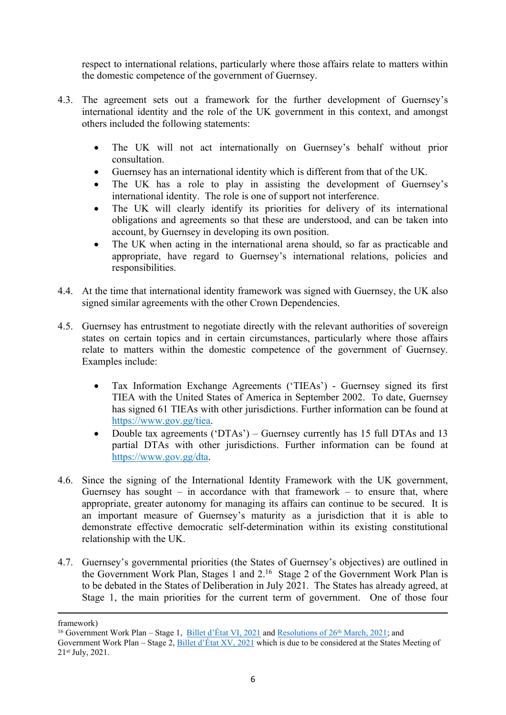respect to international relations, particularly where those affairs relate to matters within the domestic competence of the government of Guernsey.

- 4.3. The agreement sets out a framework for the further development of Guernsey's international identity and the role of the UK government in this context, and amongst others included the following statements:
	- The UK will not act internationally on Guernsey's behalf without prior consultation.
	- Guernsey has an international identity which is different from that of the UK.
	- The UK has a role to play in assisting the development of Guernsey's international identity. The role is one of support not interference.
	- The UK will clearly identify its priorities for delivery of its international obligations and agreements so that these are understood, and can be taken into account, by Guernsey in developing its own position.
	- The UK when acting in the international arena should, so far as practicable and appropriate, have regard to Guernsey's international relations, policies and responsibilities.
- 4.4. At the time that international identity framework was signed with Guernsey, the UK also signed similar agreements with the other Crown Dependencies.
- 4.5. Guernsey has entrustment to negotiate directly with the relevant authorities of sovereign states on certain topics and in certain circumstances, particularly where those affairs relate to matters within the domestic competence of the government of Guernsey. Examples include:
	- Tax Information Exchange Agreements ('TIEAs') Guernsey signed its first TIEA with the United States of America in September 2002. To date, Guernsey has signed 61 TIEAs with other jurisdictions. Further information can be found at [https://www.gov.gg/tiea.](https://www.gov.gg/tiea)
	- Double tax agreements ('DTAs') Guernsey currently has 15 full DTAs and 13 partial DTAs with other jurisdictions. Further information can be found at <https://www.gov.gg/dta>.
- 4.6. Since the signing of the International Identity Framework with the UK government, Guernsey has sought – in accordance with that framework – to ensure that, where appropriate, greater autonomy for managing its affairs can continue to be secured. It is an important measure of Guernsey's maturity as a jurisdiction that it is able to demonstrate effective democratic self-determination within its existing constitutional relationship with the UK.
- 4.7. Guernsey's governmental priorities (the States of Guernsey's objectives) are outlined in the Government Work Plan, Stages 1 and 2.<sup>16</sup> Stage 2 of the Government Work Plan is to be debated in the States of Deliberation in July 2021. The States has already agreed, at Stage 1, the main priorities for the current term of government. One of those four

framework)

<sup>&</sup>lt;sup>16</sup> Government Work Plan – Stage 1, [Billet](https://gov.gg/CHttpHandler.ashx?id=136247&p=0) [d'État](https://gov.gg/CHttpHandler.ashx?id=136247&p=0) [VI,](https://gov.gg/CHttpHandler.ashx?id=136247&p=0) [2021](https://gov.gg/CHttpHandler.ashx?id=136247&p=0) and [Resolutions](https://gov.gg/CHttpHandler.ashx?id=137654&p=0) [of](https://gov.gg/CHttpHandler.ashx?id=137654&p=0) [26](https://gov.gg/CHttpHandler.ashx?id=137654&p=0)<sup>[th](https://gov.gg/CHttpHandler.ashx?id=137654&p=0)</sup> [March,](https://gov.gg/CHttpHandler.ashx?id=137654&p=0) [2021;](https://gov.gg/CHttpHandler.ashx?id=137654&p=0) and Government Work Plan – Stage 2, [Billet](https://gov.gg/CHttpHandler.ashx?id=140945&p=0) [d'État](https://gov.gg/CHttpHandler.ashx?id=140945&p=0) [XV,](https://gov.gg/CHttpHandler.ashx?id=140945&p=0) [2021](https://gov.gg/CHttpHandler.ashx?id=140945&p=0) which is due to be considered at the States Meeting of 21st July, 2021.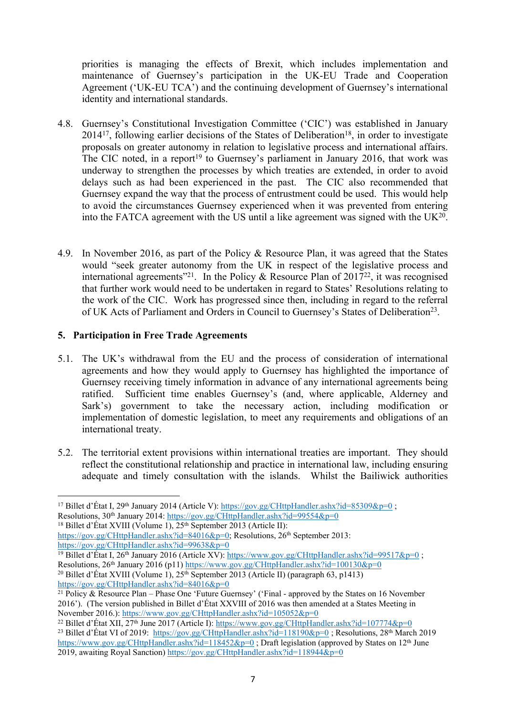priorities is managing the effects of Brexit, which includes implementation and maintenance of Guernsey's participation in the UK-EU Trade and Cooperation Agreement ('UK-EU TCA') and the continuing development of Guernsey's international identity and international standards.

- 4.8. Guernsey's Constitutional Investigation Committee ('CIC') was established in January 2014<sup>17</sup>, following earlier decisions of the States of Deliberation<sup>18</sup>, in order to investigate proposals on greater autonomy in relation to legislative process and international affairs. The CIC noted, in a report<sup>19</sup> to Guernsey's parliament in January 2016, that work was underway to strengthen the processes by which treaties are extended, in order to avoid delays such as had been experienced in the past. The CIC also recommended that Guernsey expand the way that the process of entrustment could be used. This would help to avoid the circumstances Guernsey experienced when it was prevented from entering into the FATCA agreement with the US until a like agreement was signed with the UK $^{20}$ .
- 4.9. In November 2016, as part of the Policy & Resource Plan, it was agreed that the States would "seek greater autonomy from the UK in respect of the legislative process and international agreements<sup>"21</sup>. In the Policy & Resource Plan of 2017<sup>22</sup>, it was recognised that further work would need to be undertaken in regard to States' Resolutions relating to the work of the CIC. Work has progressed since then, including in regard to the referral of UK Acts of Parliament and Orders in Council to Guernsey's States of Deliberation<sup>23</sup>.

## **5. Participation in Free Trade Agreements**

- 5.1. The UK's withdrawal from the EU and the process of consideration of international agreements and how they would apply to Guernsey has highlighted the importance of Guernsey receiving timely information in advance of any international agreements being ratified. Sufficient time enables Guernsey's (and, where applicable, Alderney and Sark's) government to take the necessary action, including modification or implementation of domestic legislation, to meet any requirements and obligations of an international treaty.
- 5.2. The territorial extent provisions within international treaties are important. They should reflect the constitutional relationship and practice in international law, including ensuring adequate and timely consultation with the islands. Whilst the Bailiwick authorities

<sup>18</sup> Billet d'État XVIII (Volume 1),  $25<sup>th</sup>$  September 2013 (Article II):

[https://gov.gg/CHttpHandler.ashx?id=84016&p=0;](https://gov.gg/CHttpHandler.ashx?id=84016&p=0) Resolutions, 26<sup>th</sup> September 2013: <https://gov.gg/CHttpHandler.ashx?id=99638&p=0>

<sup>19</sup> Billet d'État I, 26<sup>th</sup> January 2016 (Article XV): <https://www.gov.gg/CHttpHandler.ashx?id=99517&p=0> ; Resolutions,  $26<sup>th</sup>$  January 2016 (p11) <https://www.gov.gg/CHttpHandler.ashx?id=100130&p=0> <sup>20</sup> Billet d'État XVIII (Volume 1),  $25<sup>th</sup>$  September 2013 (Article II) (paragraph 63, p1413) <https://gov.gg/CHttpHandler.ashx?id=84016&p=0>

<sup>&</sup>lt;sup>17</sup> Billet d'État I, 29<sup>th</sup> January 2014 (Article V): <https://gov.gg/CHttpHandler.ashx?id=85309&p=0>; Resolutions, 30<sup>th</sup> January 2014: <https://gov.gg/CHttpHandler.ashx?id=99554&p=0>

<sup>21</sup> Policy & Resource Plan – Phase One 'Future Guernsey' ('Final - approved by the States on 16 November 2016'). (The version published in Billet d'État XXVIII of 2016 was then amended at a States Meeting in November 2016.): <https://www.gov.gg/CHttpHandler.ashx?id=105052&p=0>

<sup>&</sup>lt;sup>22</sup> Billet d'État XII, 27<sup>th</sup> June 2017 (Article I): <https://www.gov.gg/CHttpHandler.ashx?id=107774&p=0> <sup>23</sup> Billet d'État VI of 2019: <https://gov.gg/CHttpHandler.ashx?id=118190&p=0>; Resolutions, 28<sup>th</sup> March 2019 <https://www.gov.gg/CHttpHandler.ashx?id=118452&p=0>; Draft legislation (approved by States on 12<sup>th</sup> June 2019, awaiting Royal Sanction) <https://gov.gg/CHttpHandler.ashx?id=118944&p=0>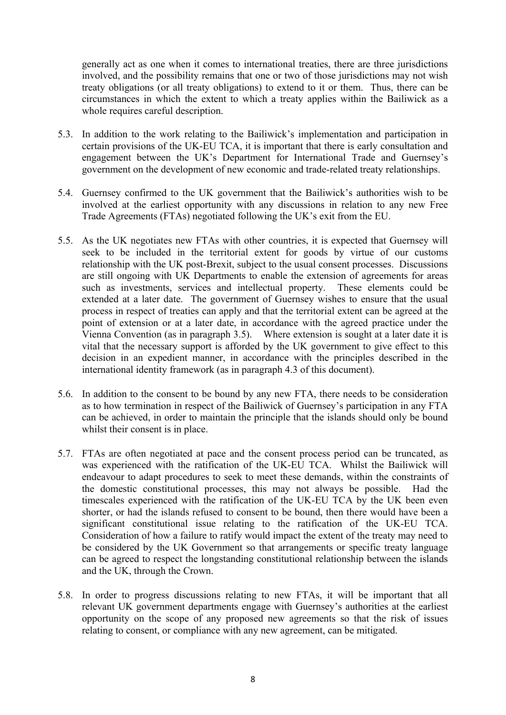generally act as one when it comes to international treaties, there are three jurisdictions involved, and the possibility remains that one or two of those jurisdictions may not wish treaty obligations (or all treaty obligations) to extend to it or them. Thus, there can be circumstances in which the extent to which a treaty applies within the Bailiwick as a whole requires careful description.

- 5.3. In addition to the work relating to the Bailiwick's implementation and participation in certain provisions of the UK-EU TCA, it is important that there is early consultation and engagement between the UK's Department for International Trade and Guernsey's government on the development of new economic and trade-related treaty relationships.
- 5.4. Guernsey confirmed to the UK government that the Bailiwick's authorities wish to be involved at the earliest opportunity with any discussions in relation to any new Free Trade Agreements (FTAs) negotiated following the UK's exit from the EU.
- 5.5. As the UK negotiates new FTAs with other countries, it is expected that Guernsey will seek to be included in the territorial extent for goods by virtue of our customs relationship with the UK post-Brexit, subject to the usual consent processes. Discussions are still ongoing with UK Departments to enable the extension of agreements for areas such as investments, services and intellectual property. These elements could be extended at a later date. The government of Guernsey wishes to ensure that the usual process in respect of treaties can apply and that the territorial extent can be agreed at the point of extension or at a later date, in accordance with the agreed practice under the Vienna Convention (as in paragraph 3.5). Where extension is sought at a later date it is vital that the necessary support is afforded by the UK government to give effect to this decision in an expedient manner, in accordance with the principles described in the international identity framework (as in paragraph 4.3 of this document).
- 5.6. In addition to the consent to be bound by any new FTA, there needs to be consideration as to how termination in respect of the Bailiwick of Guernsey's participation in any FTA can be achieved, in order to maintain the principle that the islands should only be bound whilst their consent is in place.
- 5.7. FTAs are often negotiated at pace and the consent process period can be truncated, as was experienced with the ratification of the UK-EU TCA. Whilst the Bailiwick will endeavour to adapt procedures to seek to meet these demands, within the constraints of the domestic constitutional processes, this may not always be possible. Had the timescales experienced with the ratification of the UK-EU TCA by the UK been even shorter, or had the islands refused to consent to be bound, then there would have been a significant constitutional issue relating to the ratification of the UK-EU TCA. Consideration of how a failure to ratify would impact the extent of the treaty may need to be considered by the UK Government so that arrangements or specific treaty language can be agreed to respect the longstanding constitutional relationship between the islands and the UK, through the Crown.
- 5.8. In order to progress discussions relating to new FTAs, it will be important that all relevant UK government departments engage with Guernsey's authorities at the earliest opportunity on the scope of any proposed new agreements so that the risk of issues relating to consent, or compliance with any new agreement, can be mitigated.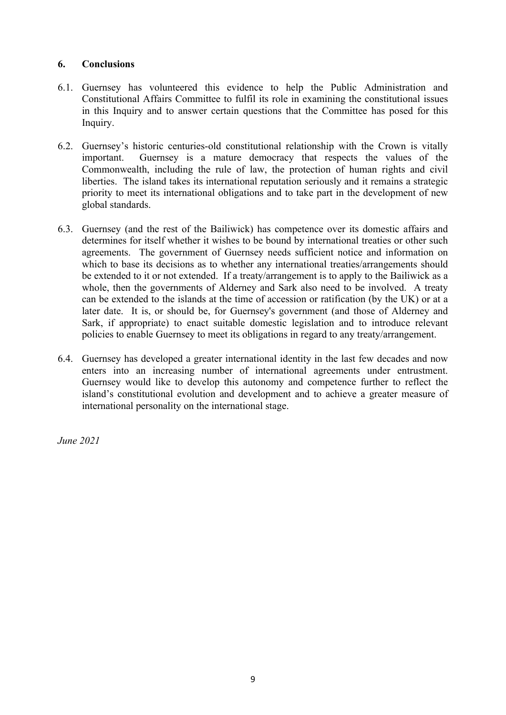## **6. Conclusions**

- 6.1. Guernsey has volunteered this evidence to help the Public Administration and Constitutional Affairs Committee to fulfil its role in examining the constitutional issues in this Inquiry and to answer certain questions that the Committee has posed for this Inquiry.
- 6.2. Guernsey's historic centuries-old constitutional relationship with the Crown is vitally important. Guernsey is a mature democracy that respects the values of the Commonwealth, including the rule of law, the protection of human rights and civil liberties. The island takes its international reputation seriously and it remains a strategic priority to meet its international obligations and to take part in the development of new global standards.
- 6.3. Guernsey (and the rest of the Bailiwick) has competence over its domestic affairs and determines for itself whether it wishes to be bound by international treaties or other such agreements. The government of Guernsey needs sufficient notice and information on which to base its decisions as to whether any international treaties/arrangements should be extended to it or not extended. If a treaty/arrangement is to apply to the Bailiwick as a whole, then the governments of Alderney and Sark also need to be involved. A treaty can be extended to the islands at the time of accession or ratification (by the UK) or at a later date. It is, or should be, for Guernsey's government (and those of Alderney and Sark, if appropriate) to enact suitable domestic legislation and to introduce relevant policies to enable Guernsey to meet its obligations in regard to any treaty/arrangement.
- 6.4. Guernsey has developed a greater international identity in the last few decades and now enters into an increasing number of international agreements under entrustment. Guernsey would like to develop this autonomy and competence further to reflect the island's constitutional evolution and development and to achieve a greater measure of international personality on the international stage.

*June 2021*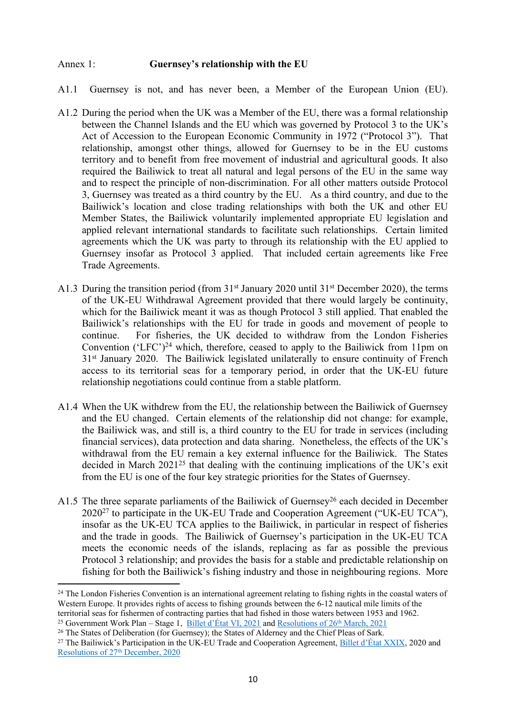#### Annex 1: **Guernsey's relationship with the EU**

- A1.1 Guernsey is not, and has never been, a Member of the European Union (EU).
- A1.2 During the period when the UK was a Member of the EU, there was a formal relationship between the Channel Islands and the EU which was governed by Protocol 3 to the UK's Act of Accession to the European Economic Community in 1972 ("Protocol 3"). That relationship, amongst other things, allowed for Guernsey to be in the EU customs territory and to benefit from free movement of industrial and agricultural goods. It also required the Bailiwick to treat all natural and legal persons of the EU in the same way and to respect the principle of non-discrimination. For all other matters outside Protocol 3, Guernsey was treated as a third country by the EU. As a third country, and due to the Bailiwick's location and close trading relationships with both the UK and other EU Member States, the Bailiwick voluntarily implemented appropriate EU legislation and applied relevant international standards to facilitate such relationships. Certain limited agreements which the UK was party to through its relationship with the EU applied to Guernsey insofar as Protocol 3 applied. That included certain agreements like Free Trade Agreements.
- A1.3 During the transition period (from 31<sup>st</sup> January 2020 until 31<sup>st</sup> December 2020), the terms of the UK-EU Withdrawal Agreement provided that there would largely be continuity, which for the Bailiwick meant it was as though Protocol 3 still applied. That enabled the Bailiwick's relationships with the EU for trade in goods and movement of people to continue. For fisheries, the UK decided to withdraw from the London Fisheries Convention ('LFC')<sup>24</sup> which, therefore, ceased to apply to the Bailiwick from 11pm on 31st January 2020. The Bailiwick legislated unilaterally to ensure continuity of French access to its territorial seas for a temporary period, in order that the UK-EU future relationship negotiations could continue from a stable platform.
- A1.4 When the UK withdrew from the EU, the relationship between the Bailiwick of Guernsey and the EU changed. Certain elements of the relationship did not change: for example, the Bailiwick was, and still is, a third country to the EU for trade in services (including financial services), data protection and data sharing. Nonetheless, the effects of the UK's withdrawal from the EU remain a key external influence for the Bailiwick. The States decided in March  $2021^{25}$  that dealing with the continuing implications of the UK's exit from the EU is one of the four key strategic priorities for the States of Guernsey.
- A1.5 The three separate parliaments of the Bailiwick of Guernsey<sup>26</sup> each decided in December 2020<sup>27</sup> to participate in the UK-EU Trade and Cooperation Agreement ("UK-EU TCA"), insofar as the UK-EU TCA applies to the Bailiwick, in particular in respect of fisheries and the trade in goods. The Bailiwick of Guernsey's participation in the UK-EU TCA meets the economic needs of the islands, replacing as far as possible the previous Protocol 3 relationship; and provides the basis for a stable and predictable relationship on fishing for both the Bailiwick's fishing industry and those in neighbouring regions. More

<sup>&</sup>lt;sup>24</sup> The London Fisheries Convention is an international agreement relating to fishing rights in the coastal waters of Western Europe. It provides rights of access to fishing grounds between the 6-12 nautical mile limits of the territorial seas for fishermen of contracting parties that had fished in those waters between 1953 and 1962. <sup>25</sup> Government Work Plan – Stage 1, [Billet](https://gov.gg/CHttpHandler.ashx?id=136247&p=0) [d'État](https://gov.gg/CHttpHandler.ashx?id=136247&p=0) [VI,](https://gov.gg/CHttpHandler.ashx?id=136247&p=0) [2021](https://gov.gg/CHttpHandler.ashx?id=137654&p=0) and [Resolutions](https://gov.gg/CHttpHandler.ashx?id=137654&p=0) [of](https://gov.gg/CHttpHandler.ashx?id=137654&p=0)  $26<sup>th</sup>$  $26<sup>th</sup>$  $26<sup>th</sup>$  $26<sup>th</sup>$  [March,](https://gov.gg/CHttpHandler.ashx?id=137654&p=0) 2021

<sup>&</sup>lt;sup>26</sup> The States of Deliberation (for Guernsey); the States of Alderney and the Chief Pleas of Sark.

<sup>&</sup>lt;sup>27</sup> The Bailiwick's [P](https://gov.gg/CHttpHandler.ashx?id=134872&p=0)articipatio[n](https://gov.gg/CHttpHandler.ashx?id=134872&p=0) in the UK-EU Trade and Cooperation Agreement, [Billet](https://gov.gg/CHttpHandler.ashx?id=134861&p=0) [d'État](https://gov.gg/CHttpHandler.ashx?id=134861&p=0) [XXIX,](https://gov.gg/CHttpHandler.ashx?id=134861&p=0) 2020 and [Resolutions](https://gov.gg/CHttpHandler.ashx?id=134872&p=0) [of](https://gov.gg/CHttpHandler.ashx?id=134872&p=0) [27](https://gov.gg/CHttpHandler.ashx?id=134872&p=0)<sup>[th](https://gov.gg/CHttpHandler.ashx?id=134872&p=0)</sup> [December,](https://gov.gg/CHttpHandler.ashx?id=134872&p=0) [2020](https://gov.gg/CHttpHandler.ashx?id=134872&p=0)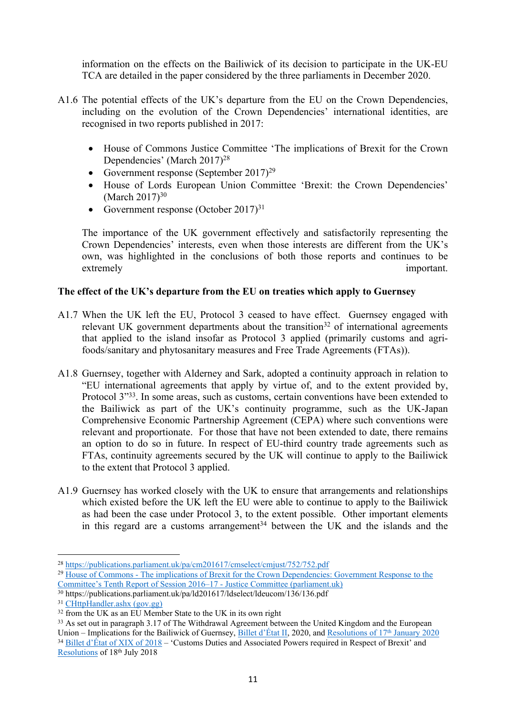information on the effects on the Bailiwick of its decision to participate in the UK-EU TCA are detailed in the paper considered by the three parliaments in December 2020.

- A1.6 The potential effects of the UK's departure from the EU on the Crown Dependencies, including on the evolution of the Crown Dependencies' international identities, are recognised in two reports published in 2017:
	- House of Commons Justice Committee 'The implications of Brexit for the Crown Dependencies' (March 2017)<sup>28</sup>
	- Government response (September 2017)<sup>29</sup>
	- House of Lords European Union Committee 'Brexit: the Crown Dependencies' (March  $2017$ )<sup>30</sup>
	- Government response (October 2017)<sup>31</sup>

The importance of the UK government effectively and satisfactorily representing the Crown Dependencies' interests, even when those interests are different from the UK's own, was highlighted in the conclusions of both those reports and continues to be extremely important.

## **The effect of the UK's departure from the EU on treaties which apply to Guernsey**

- A1.7 When the UK left the EU, Protocol 3 ceased to have effect. Guernsey engaged with relevant UK government departments about the transition<sup>32</sup> of international agreements that applied to the island insofar as Protocol 3 applied (primarily customs and agrifoods/sanitary and phytosanitary measures and Free Trade Agreements (FTAs)).
- A1.8 Guernsey, together with Alderney and Sark, adopted a continuity approach in relation to "EU international agreements that apply by virtue of, and to the extent provided by, Protocol 3<sup>733</sup>. In some areas, such as customs, certain conventions have been extended to the Bailiwick as part of the UK's continuity programme, such as the UK-Japan Comprehensive Economic Partnership Agreement (CEPA) where such conventions were relevant and proportionate. For those that have not been extended to date, there remains an option to do so in future. In respect of EU-third country trade agreements such as FTAs, continuity agreements secured by the UK will continue to apply to the Bailiwick to the extent that Protocol 3 applied.
- A1.9 Guernsey has worked closely with the UK to ensure that arrangements and relationships which existed before the UK left the EU were able to continue to apply to the Bailiwick as had been the case under Protocol 3, to the extent possible. Other important elements in this regard are a customs arrangement<sup>34</sup> between the UK and the islands and the

<sup>28</sup> <https://publications.parliament.uk/pa/cm201617/cmselect/cmjust/752/752.pdf>

<sup>29</sup> [House](https://publications.parliament.uk/pa/cm201719/cmselect/cmjust/423/42302.htm) [of](https://publications.parliament.uk/pa/cm201719/cmselect/cmjust/423/42302.htm) [Commons](https://publications.parliament.uk/pa/cm201719/cmselect/cmjust/423/42302.htm) [-](https://publications.parliament.uk/pa/cm201719/cmselect/cmjust/423/42302.htm) [The](https://publications.parliament.uk/pa/cm201719/cmselect/cmjust/423/42302.htm) [implications](https://publications.parliament.uk/pa/cm201719/cmselect/cmjust/423/42302.htm) [of](https://publications.parliament.uk/pa/cm201719/cmselect/cmjust/423/42302.htm) [Brexit](https://publications.parliament.uk/pa/cm201719/cmselect/cmjust/423/42302.htm) [for](https://publications.parliament.uk/pa/cm201719/cmselect/cmjust/423/42302.htm) [the](https://publications.parliament.uk/pa/cm201719/cmselect/cmjust/423/42302.htm) [Crown](https://publications.parliament.uk/pa/cm201719/cmselect/cmjust/423/42302.htm) [Dependencies:](https://publications.parliament.uk/pa/cm201719/cmselect/cmjust/423/42302.htm) [Government](https://publications.parliament.uk/pa/cm201719/cmselect/cmjust/423/42302.htm) [Response](https://publications.parliament.uk/pa/cm201719/cmselect/cmjust/423/42302.htm) [to](https://publications.parliament.uk/pa/cm201719/cmselect/cmjust/423/42302.htm) [the](https://publications.parliament.uk/pa/cm201719/cmselect/cmjust/423/42302.htm) [Committee's](https://publications.parliament.uk/pa/cm201719/cmselect/cmjust/423/42302.htm) [Tenth](https://publications.parliament.uk/pa/cm201719/cmselect/cmjust/423/42302.htm) [Report](https://publications.parliament.uk/pa/cm201719/cmselect/cmjust/423/42302.htm) [of](https://publications.parliament.uk/pa/cm201719/cmselect/cmjust/423/42302.htm) [Session](https://publications.parliament.uk/pa/cm201719/cmselect/cmjust/423/42302.htm) [2016–17](https://publications.parliament.uk/pa/cm201719/cmselect/cmjust/423/42302.htm) [-](https://publications.parliament.uk/pa/cm201719/cmselect/cmjust/423/42302.htm) [Justice](https://publications.parliament.uk/pa/cm201719/cmselect/cmjust/423/42302.htm) [Committee](https://publications.parliament.uk/pa/cm201719/cmselect/cmjust/423/42302.htm) [\(parliament.uk\)](https://publications.parliament.uk/pa/cm201719/cmselect/cmjust/423/42302.htm)

<sup>&</sup>lt;sup>30</sup> https://publications.parliament.uk/pa/ld201617/ldselect/ldeucom/136/136.pdf

<sup>31</sup> [CHttpHandler.ashx](https://www.gov.gg/CHttpHandler.ashx?id=111202&p=0) [\(gov.gg\)](https://www.gov.gg/CHttpHandler.ashx?id=111202&p=0)

 $32$  from the UK as an EU Member State to the UK in its own right

<sup>&</sup>lt;sup>33</sup> As set out in paragrap[h](https://www.gov.gg/CHttpHandler.ashx?id=123020&p=0) 3.17 of The Withdrawal Agreement between the United Kingdom and the European Union – Implications for the Bailiwick of Guernsey, [Billet](https://www.gov.gg/CHttpHandler.ashx?id=122875&p=0) [d'État](https://www.gov.gg/CHttpHandler.ashx?id=122875&p=0) [II](https://www.gov.gg/CHttpHandler.ashx?id=122875&p=0), 2020, and [Resolutions](https://www.gov.gg/CHttpHandler.ashx?id=123020&p=0) [of](https://www.gov.gg/CHttpHandler.ashx?id=123020&p=0) [17](https://www.gov.gg/CHttpHandler.ashx?id=123020&p=0)<sup>[th](https://www.gov.gg/CHttpHandler.ashx?id=123020&p=0)</sup> [January](https://www.gov.gg/CHttpHandler.ashx?id=123020&p=0) [2020](https://www.gov.gg/CHttpHandler.ashx?id=123020&p=0) <sup>34</sup> [Billet](https://eforms.gov.gg/Downloads/Billet%20D) [d'État](https://eforms.gov.gg/Downloads/Billet%20D) [of](https://eforms.gov.gg/Downloads/Billet%20D) [XIX](https://eforms.gov.gg/Downloads/Billet%20D) of [2018](https://eforms.gov.gg/Downloads/Billet%20D) – 'Customs Duties and Associated Powers required in Respect of Brexit' and [Resolutions](https://www.gov.gg/CHttpHandler.ashx?id=114559&p=0) of 18th July 2018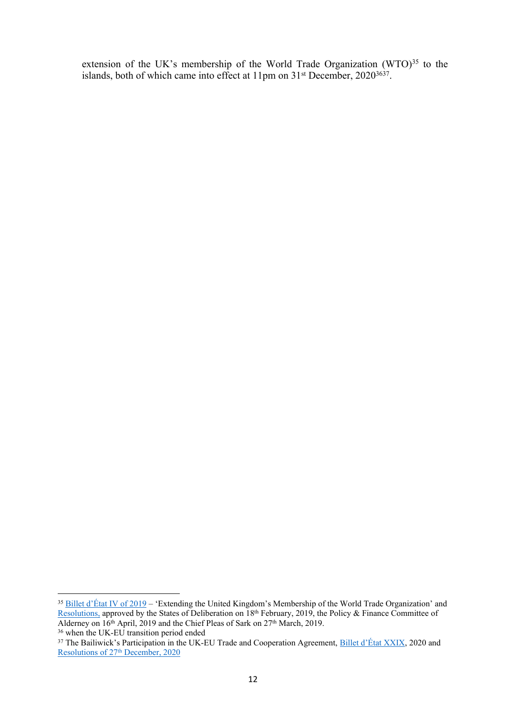extension of the UK's membership of the World Trade Organization (WTO)<sup>35</sup> to the islands, both of which came into effect at 11pm on 31<sup>st</sup> December, 2020<sup>3637</sup>.

<sup>&</sup>lt;sup>35</sup> [Billet](https://www.gov.gg/CHttpHandler.ashx?id=117770&p=0) [d'État](https://www.gov.gg/CHttpHandler.ashx?id=117770&p=0) [IV](https://www.gov.gg/CHttpHandler.ashx?id=117770&p=0) [of](https://www.gov.gg/CHttpHandler.ashx?id=117770&p=0) [2019](https://www.gov.gg/CHttpHandler.ashx?id=117770&p=0) – 'Extending the United Kingdom's Membership of the World Trade Organization' and [Resolutions](https://www.gov.gg/CHttpHandler.ashx?id=117933&p=0), approved by the States of Deliberation on 18<sup>th</sup> February, 2019, the Policy & Finance Committee of Alderney on  $16<sup>th</sup>$  April, 2019 and the Chief Pleas of Sark on 27<sup>th</sup> March, 2019.

<sup>&</sup>lt;sup>36</sup> when the UK-EU transition period ended

<sup>&</sup>lt;sup>37</sup> The Bailiwick's [P](https://gov.gg/CHttpHandler.ashx?id=134872&p=0)articipatio[n](https://gov.gg/CHttpHandler.ashx?id=134872&p=0) in the UK-EU Trade and Cooperation Agreement, [Billet](https://gov.gg/CHttpHandler.ashx?id=134861&p=0) [d'État](https://gov.gg/CHttpHandler.ashx?id=134861&p=0) [XXIX,](https://gov.gg/CHttpHandler.ashx?id=134861&p=0) 2020 and [Resolutions](https://gov.gg/CHttpHandler.ashx?id=134872&p=0) [of](https://gov.gg/CHttpHandler.ashx?id=134872&p=0) [27](https://gov.gg/CHttpHandler.ashx?id=134872&p=0)<sup>[th](https://gov.gg/CHttpHandler.ashx?id=134872&p=0)</sup> [December,](https://gov.gg/CHttpHandler.ashx?id=134872&p=0) [2020](https://gov.gg/CHttpHandler.ashx?id=134872&p=0)